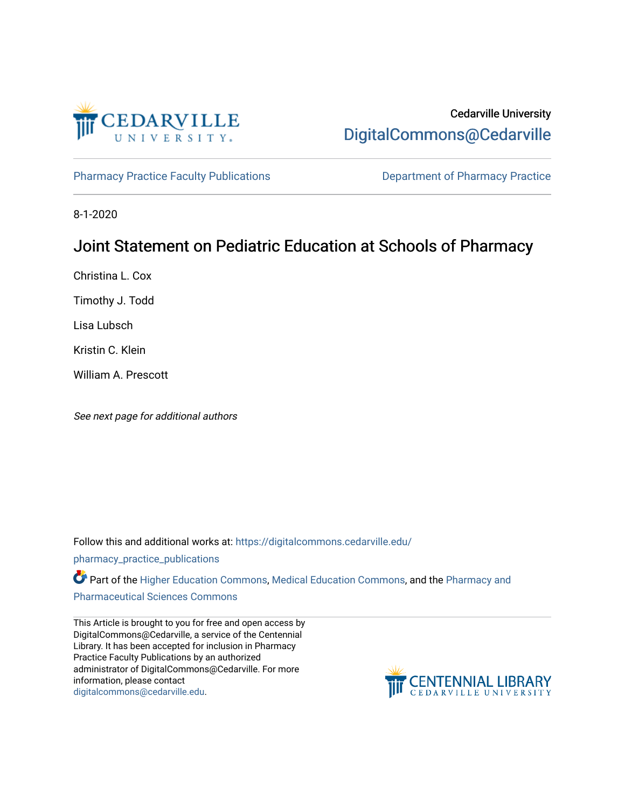

# Cedarville University [DigitalCommons@Cedarville](https://digitalcommons.cedarville.edu/)

[Pharmacy Practice Faculty Publications](https://digitalcommons.cedarville.edu/pharmacy_practice_publications) **Department of Pharmacy Practice** 

8-1-2020

# Joint Statement on Pediatric Education at Schools of Pharmacy

Christina L. Cox

Timothy J. Todd

Lisa Lubsch

Kristin C. Klein

William A. Prescott

See next page for additional authors

Follow this and additional works at: [https://digitalcommons.cedarville.edu/](https://digitalcommons.cedarville.edu/pharmacy_practice_publications?utm_source=digitalcommons.cedarville.edu%2Fpharmacy_practice_publications%2F400&utm_medium=PDF&utm_campaign=PDFCoverPages)

[pharmacy\\_practice\\_publications](https://digitalcommons.cedarville.edu/pharmacy_practice_publications?utm_source=digitalcommons.cedarville.edu%2Fpharmacy_practice_publications%2F400&utm_medium=PDF&utm_campaign=PDFCoverPages)

Part of the [Higher Education Commons,](http://network.bepress.com/hgg/discipline/1245?utm_source=digitalcommons.cedarville.edu%2Fpharmacy_practice_publications%2F400&utm_medium=PDF&utm_campaign=PDFCoverPages) [Medical Education Commons](http://network.bepress.com/hgg/discipline/1125?utm_source=digitalcommons.cedarville.edu%2Fpharmacy_practice_publications%2F400&utm_medium=PDF&utm_campaign=PDFCoverPages), and the Pharmacy and [Pharmaceutical Sciences Commons](http://network.bepress.com/hgg/discipline/731?utm_source=digitalcommons.cedarville.edu%2Fpharmacy_practice_publications%2F400&utm_medium=PDF&utm_campaign=PDFCoverPages) 

This Article is brought to you for free and open access by DigitalCommons@Cedarville, a service of the Centennial Library. It has been accepted for inclusion in Pharmacy Practice Faculty Publications by an authorized administrator of DigitalCommons@Cedarville. For more information, please contact [digitalcommons@cedarville.edu](mailto:digitalcommons@cedarville.edu).

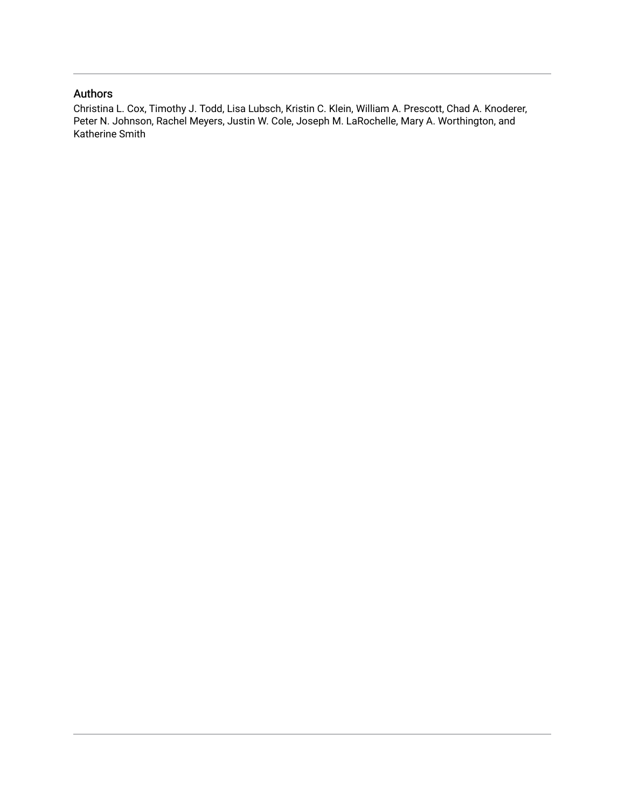### Authors

Christina L. Cox, Timothy J. Todd, Lisa Lubsch, Kristin C. Klein, William A. Prescott, Chad A. Knoderer, Peter N. Johnson, Rachel Meyers, Justin W. Cole, Joseph M. LaRochelle, Mary A. Worthington, and Katherine Smith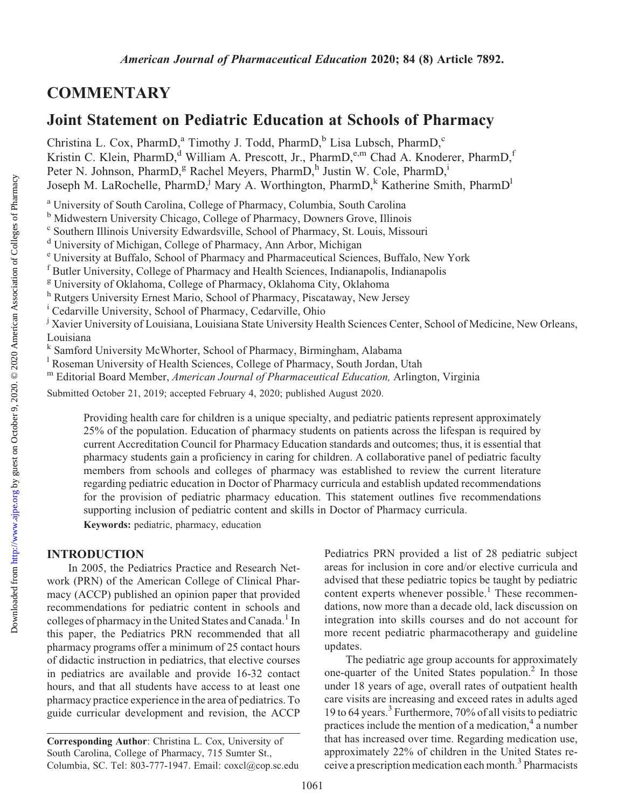# **COMMENTARY**

# Joint Statement on Pediatric Education at Schools of Pharmacy

Christina L. Cox, PharmD,<sup>a</sup> Timothy J. Todd, PharmD,<sup>b</sup> Lisa Lubsch, PharmD,<sup>c</sup> Kristin C. Klein, PharmD,<sup>d</sup> William A. Prescott, Jr., PharmD,<sup>e,m</sup> Chad A. Knoderer, PharmD,<sup>f</sup> Peter N. Johnson, PharmD,<sup>g</sup> Rachel Meyers, PharmD,<sup>h</sup> Justin W. Cole, PharmD,<sup>i</sup> Joseph M. LaRochelle, PharmD,<sup>j</sup> Mary A. Worthington, PharmD,<sup>k</sup> Katherine Smith, PharmD<sup>1</sup>

<sup>a</sup> University of South Carolina, College of Pharmacy, Columbia, South Carolina

<sup>b</sup> Midwestern University Chicago, College of Pharmacy, Downers Grove, Illinois

<sup>c</sup> Southern Illinois University Edwardsville, School of Pharmacy, St. Louis, Missouri

<sup>d</sup> University of Michigan, College of Pharmacy, Ann Arbor, Michigan

<sup>e</sup> University at Buffalo, School of Pharmacy and Pharmaceutical Sciences, Buffalo, New York

<sup>f</sup> Butler University, College of Pharmacy and Health Sciences, Indianapolis, Indianapolis

<sup>g</sup> University of Oklahoma, College of Pharmacy, Oklahoma City, Oklahoma

- h Rutgers University Ernest Mario, School of Pharmacy, Piscataway, New Jersey
- <sup>i</sup> Cedarville University, School of Pharmacy, Cedarville, Ohio

<sup>j</sup> Xavier University of Louisiana, Louisiana State University Health Sciences Center, School of Medicine, New Orleans, Louisiana

<sup>k</sup> Samford University McWhorter, School of Pharmacy, Birmingham, Alabama

<sup>1</sup> Roseman University of Health Sciences, College of Pharmacy, South Jordan, Utah

<sup>m</sup> Editorial Board Member, American Journal of Pharmaceutical Education, Arlington, Virginia

Submitted October 21, 2019; accepted February 4, 2020; published August 2020.

Providing health care for children is a unique specialty, and pediatric patients represent approximately 25% of the population. Education of pharmacy students on patients across the lifespan is required by current Accreditation Council for Pharmacy Education standards and outcomes; thus, it is essential that pharmacy students gain a proficiency in caring for children. A collaborative panel of pediatric faculty members from schools and colleges of pharmacy was established to review the current literature regarding pediatric education in Doctor of Pharmacy curricula and establish updated recommendations for the provision of pediatric pharmacy education. This statement outlines five recommendations supporting inclusion of pediatric content and skills in Doctor of Pharmacy curricula.

Keywords: pediatric, pharmacy, education

## INTRODUCTION

In 2005, the Pediatrics Practice and Research Network (PRN) of the American College of Clinical Pharmacy (ACCP) published an opinion paper that provided recommendations for pediatric content in schools and colleges of pharmacy in the United States and Canada.<sup>1</sup> In this paper, the Pediatrics PRN recommended that all pharmacy programs offer a minimum of 25 contact hours of didactic instruction in pediatrics, that elective courses in pediatrics are available and provide 16-32 contact hours, and that all students have access to at least one pharmacy practice experience in the area of pediatrics. To guide curricular development and revision, the ACCP

Pediatrics PRN provided a list of 28 pediatric subject areas for inclusion in core and/or elective curricula and advised that these pediatric topics be taught by pediatric content experts whenever possible.<sup>1</sup> These recommendations, now more than a decade old, lack discussion on integration into skills courses and do not account for more recent pediatric pharmacotherapy and guideline updates.

The pediatric age group accounts for approximately one-quarter of the United States population. $<sup>2</sup>$  In those</sup> under 18 years of age, overall rates of outpatient health care visits are increasing and exceed rates in adults aged 19 to 64 years.<sup>3</sup> Furthermore, 70% of all visits to pediatric practices include the mention of a medication, $\frac{4}{3}$  a number that has increased over time. Regarding medication use, approximately 22% of children in the United States receive a prescription medication each month.<sup>3</sup> Pharmacists

Corresponding Author: Christina L. Cox, University of South Carolina, College of Pharmacy, 715 Sumter St., Columbia, SC. Tel: 803-777-1947. Email: [coxcl@cop.sc.edu](mailto:coxcl@cop.sc.edu)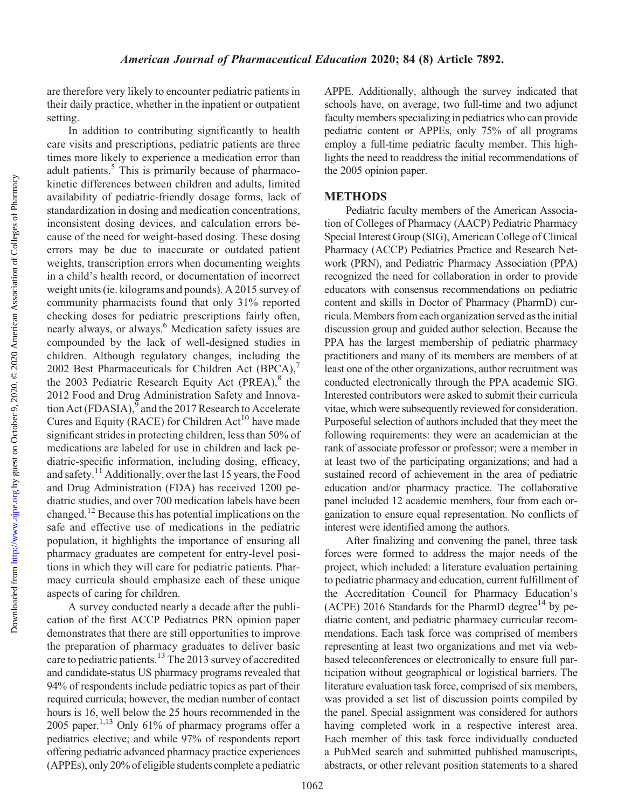are therefore very likely to encounter pediatric patients in their daily practice, whether in the inpatient or outpatient setting.

In addition to contributing significantly to health care visits and prescriptions, pediatric patients are three times more likely to experience a medication error than adult patients.<sup>5</sup> This is primarily because of pharmacokinetic differences between children and adults, limited availability of pediatric-friendly dosage forms, lack of standardization in dosing and medication concentrations, inconsistent dosing devices, and calculation errors because of the need for weight-based dosing. These dosing errors may be due to inaccurate or outdated patient weights, transcription errors when documenting weights in a child's health record, or documentation of incorrect weight units (ie. kilograms and pounds). A 2015 survey of community pharmacists found that only 31% reported checking doses for pediatric prescriptions fairly often, nearly always, or always.<sup>6</sup> Medication safety issues are compounded by the lack of well-designed studies in children. Although regulatory changes, including the 2002 Best Pharmaceuticals for Children Act (BPCA),<sup>7</sup> the 2003 Pediatric Research Equity Act (PREA), $8$  the 2012 Food and Drug Administration Safety and Innovation Act (FDASIA), $\frac{9}{9}$  and the 2017 Research to Accelerate Cures and Equity (RACE) for Children Act<sup>10</sup> have made significant strides in protecting children, less than 50% of medications are labeled for use in children and lack pediatric-specific information, including dosing, efficacy, and safety.11 Additionally, over the last 15 years, the Food and Drug Administration (FDA) has received 1200 pediatric studies, and over 700 medication labels have been changed.12 Because this has potential implications on the safe and effective use of medications in the pediatric population, it highlights the importance of ensuring all pharmacy graduates are competent for entry-level positions in which they will care for pediatric patients. Pharmacy curricula should emphasize each of these unique aspects of caring for children.

A survey conducted nearly a decade after the publication of the first ACCP Pediatrics PRN opinion paper demonstrates that there are still opportunities to improve the preparation of pharmacy graduates to deliver basic care to pediatric patients.<sup>13</sup> The 2013 survey of accredited and candidate-status US pharmacy programs revealed that 94% of respondents include pediatric topics as part of their required curricula; however, the median number of contact hours is 16, well below the 25 hours recommended in the  $2005$  paper.<sup>1,13</sup> Only 61% of pharmacy programs offer a pediatrics elective; and while 97% of respondents report offering pediatric advanced pharmacy practice experiences (APPEs), only 20% of eligible students complete a pediatric

APPE. Additionally, although the survey indicated that schools have, on average, two full-time and two adjunct faculty members specializing in pediatrics who can provide pediatric content or APPEs, only 75% of all programs employ a full-time pediatric faculty member. This highlights the need to readdress the initial recommendations of the 2005 opinion paper.

### METHODS

Pediatric faculty members of the American Association of Colleges of Pharmacy (AACP) Pediatric Pharmacy Special Interest Group (SIG), American College of Clinical Pharmacy (ACCP) Pediatrics Practice and Research Network (PRN), and Pediatric Pharmacy Association (PPA) recognized the need for collaboration in order to provide educators with consensus recommendations on pediatric content and skills in Doctor of Pharmacy (PharmD) curricula.Members from each organization served as the initial discussion group and guided author selection. Because the PPA has the largest membership of pediatric pharmacy practitioners and many of its members are members of at least one of the other organizations, author recruitment was conducted electronically through the PPA academic SIG. Interested contributors were asked to submit their curricula vitae, which were subsequently reviewed for consideration. Purposeful selection of authors included that they meet the following requirements: they were an academician at the rank of associate professor or professor; were a member in at least two of the participating organizations; and had a sustained record of achievement in the area of pediatric education and/or pharmacy practice. The collaborative panel included 12 academic members, four from each organization to ensure equal representation. No conflicts of interest were identified among the authors.

After finalizing and convening the panel, three task forces were formed to address the major needs of the project, which included: a literature evaluation pertaining to pediatric pharmacy and education, current fulfillment of the Accreditation Council for Pharmacy Education's (ACPE) 2016 Standards for the PharmD degree<sup>14</sup> by pediatric content, and pediatric pharmacy curricular recommendations. Each task force was comprised of members representing at least two organizations and met via webbased teleconferences or electronically to ensure full participation without geographical or logistical barriers. The literature evaluation task force, comprised of six members, was provided a set list of discussion points compiled by the panel. Special assignment was considered for authors having completed work in a respective interest area. Each member of this task force individually conducted a PubMed search and submitted published manuscripts, abstracts, or other relevant position statements to a shared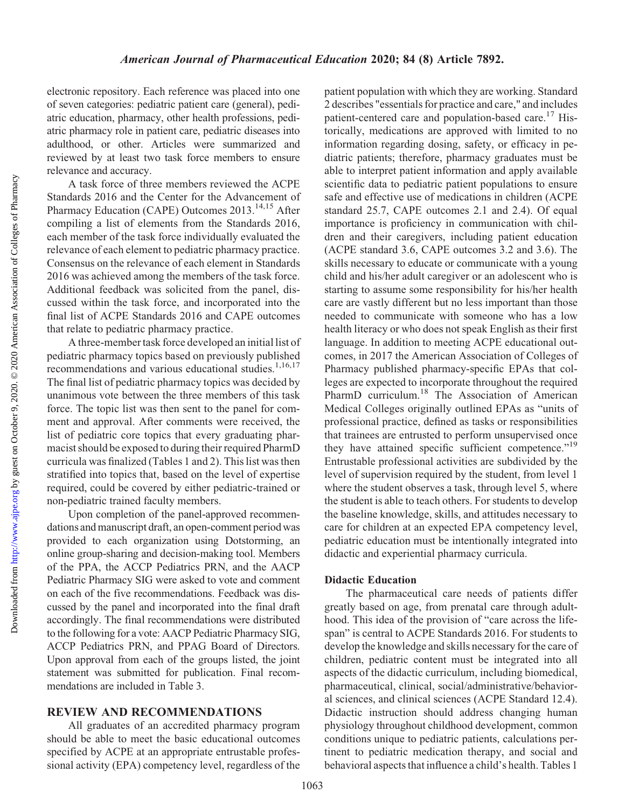Downloaded from

electronic repository. Each reference was placed into one of seven categories: pediatric patient care (general), pediatric education, pharmacy, other health professions, pediatric pharmacy role in patient care, pediatric diseases into adulthood, or other. Articles were summarized and reviewed by at least two task force members to ensure relevance and accuracy.

A task force of three members reviewed the ACPE Standards 2016 and the Center for the Advancement of Pharmacy Education (CAPE) Outcomes 2013.<sup>14,15</sup> After compiling a list of elements from the Standards 2016, each member of the task force individually evaluated the relevance of each element to pediatric pharmacy practice. Consensus on the relevance of each element in Standards 2016 was achieved among the members of the task force. Additional feedback was solicited from the panel, discussed within the task force, and incorporated into the final list of ACPE Standards 2016 and CAPE outcomes that relate to pediatric pharmacy practice.

A three-member task force developed an initial list of pediatric pharmacy topics based on previously published recommendations and various educational studies.<sup>1,16,17</sup> The final list of pediatric pharmacy topics was decided by unanimous vote between the three members of this task force. The topic list was then sent to the panel for comment and approval. After comments were received, the list of pediatric core topics that every graduating pharmacist should be exposed to during their required PharmD curricula was finalized (Tables 1 and 2). This list was then stratified into topics that, based on the level of expertise required, could be covered by either pediatric-trained or non-pediatric trained faculty members.

Upon completion of the panel-approved recommendations and manuscript draft, an open-comment period was provided to each organization using Dotstorming, an online group-sharing and decision-making tool. Members of the PPA, the ACCP Pediatrics PRN, and the AACP Pediatric Pharmacy SIG were asked to vote and comment on each of the five recommendations. Feedback was discussed by the panel and incorporated into the final draft accordingly. The final recommendations were distributed to the following for a vote: AACP Pediatric Pharmacy SIG, ACCP Pediatrics PRN, and PPAG Board of Directors. Upon approval from each of the groups listed, the joint statement was submitted for publication. Final recommendations are included in Table 3.

### REVIEW AND RECOMMENDATIONS

All graduates of an accredited pharmacy program should be able to meet the basic educational outcomes specified by ACPE at an appropriate entrustable professional activity (EPA) competency level, regardless of the patient population with which they are working. Standard 2 describes "essentials for practice and care," and includes patient-centered care and population-based care.<sup>17</sup> Historically, medications are approved with limited to no information regarding dosing, safety, or efficacy in pediatric patients; therefore, pharmacy graduates must be able to interpret patient information and apply available scientific data to pediatric patient populations to ensure safe and effective use of medications in children (ACPE standard 25.7, CAPE outcomes 2.1 and 2.4). Of equal importance is proficiency in communication with children and their caregivers, including patient education (ACPE standard 3.6, CAPE outcomes 3.2 and 3.6). The skills necessary to educate or communicate with a young child and his/her adult caregiver or an adolescent who is starting to assume some responsibility for his/her health care are vastly different but no less important than those needed to communicate with someone who has a low health literacy or who does not speak English as their first language. In addition to meeting ACPE educational outcomes, in 2017 the American Association of Colleges of Pharmacy published pharmacy-specific EPAs that colleges are expected to incorporate throughout the required PharmD curriculum.<sup>18</sup> The Association of American Medical Colleges originally outlined EPAs as "units of professional practice, defined as tasks or responsibilities that trainees are entrusted to perform unsupervised once they have attained specific sufficient competence."<sup>19</sup> Entrustable professional activities are subdivided by the level of supervision required by the student, from level 1 where the student observes a task, through level 5, where the student is able to teach others. For students to develop the baseline knowledge, skills, and attitudes necessary to care for children at an expected EPA competency level, pediatric education must be intentionally integrated into didactic and experiential pharmacy curricula.

#### Didactic Education

The pharmaceutical care needs of patients differ greatly based on age, from prenatal care through adulthood. This idea of the provision of "care across the lifespan" is central to ACPE Standards 2016. For students to develop the knowledge and skills necessary for the care of children, pediatric content must be integrated into all aspects of the didactic curriculum, including biomedical, pharmaceutical, clinical, social/administrative/behavioral sciences, and clinical sciences (ACPE Standard 12.4). Didactic instruction should address changing human physiology throughout childhood development, common conditions unique to pediatric patients, calculations pertinent to pediatric medication therapy, and social and behavioral aspects that influence a child's health. Tables 1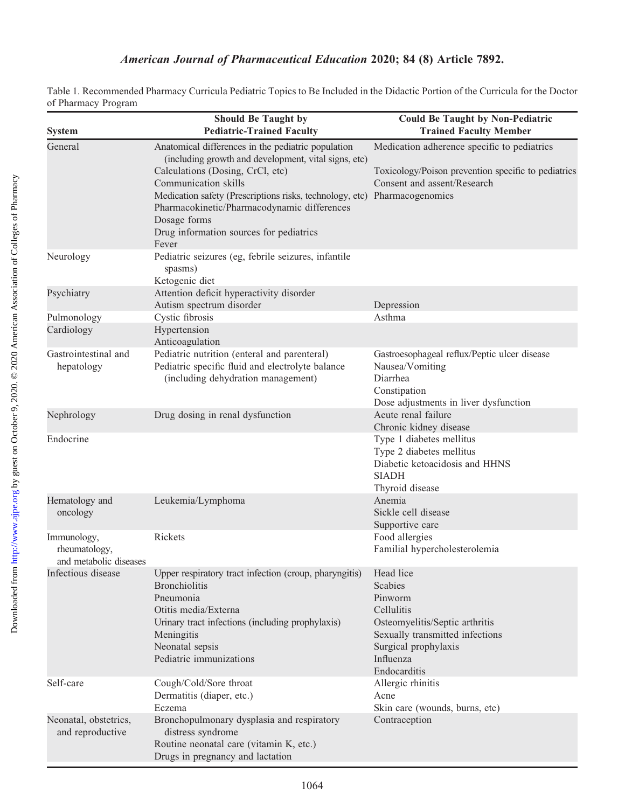## American Journal of Pharmaceutical Education 2020; 84 (8) Article 7892.

Table 1. Recommended Pharmacy Curricula Pediatric Topics to Be Included in the Didactic Portion of the Curricula for the Doctor of Pharmacy Program

| Thursday Trogram                                       |                                                                                                                                                                                                                                                                                                                                                       |                                                                                                                                                                         |
|--------------------------------------------------------|-------------------------------------------------------------------------------------------------------------------------------------------------------------------------------------------------------------------------------------------------------------------------------------------------------------------------------------------------------|-------------------------------------------------------------------------------------------------------------------------------------------------------------------------|
| <b>System</b>                                          | <b>Should Be Taught by</b><br><b>Pediatric-Trained Faculty</b>                                                                                                                                                                                                                                                                                        | <b>Could Be Taught by Non-Pediatric</b><br><b>Trained Faculty Member</b>                                                                                                |
| General                                                | Anatomical differences in the pediatric population<br>(including growth and development, vital signs, etc)<br>Calculations (Dosing, CrCl, etc)<br>Communication skills<br>Medication safety (Prescriptions risks, technology, etc)<br>Pharmacokinetic/Pharmacodynamic differences<br>Dosage forms<br>Drug information sources for pediatrics<br>Fever | Medication adherence specific to pediatrics<br>Toxicology/Poison prevention specific to pediatrics<br>Consent and assent/Research<br>Pharmacogenomics                   |
| Neurology                                              | Pediatric seizures (eg, febrile seizures, infantile<br>spasms)<br>Ketogenic diet                                                                                                                                                                                                                                                                      |                                                                                                                                                                         |
| Psychiatry                                             | Attention deficit hyperactivity disorder<br>Autism spectrum disorder                                                                                                                                                                                                                                                                                  | Depression                                                                                                                                                              |
| Pulmonology                                            | Cystic fibrosis                                                                                                                                                                                                                                                                                                                                       | Asthma                                                                                                                                                                  |
| Cardiology                                             | Hypertension<br>Anticoagulation                                                                                                                                                                                                                                                                                                                       |                                                                                                                                                                         |
| Gastrointestinal and<br>hepatology                     | Pediatric nutrition (enteral and parenteral)<br>Pediatric specific fluid and electrolyte balance<br>(including dehydration management)                                                                                                                                                                                                                | Gastroesophageal reflux/Peptic ulcer disease<br>Nausea/Vomiting<br>Diarrhea<br>Constipation<br>Dose adjustments in liver dysfunction                                    |
| Nephrology                                             | Drug dosing in renal dysfunction                                                                                                                                                                                                                                                                                                                      | Acute renal failure<br>Chronic kidney disease                                                                                                                           |
| Endocrine                                              |                                                                                                                                                                                                                                                                                                                                                       | Type 1 diabetes mellitus<br>Type 2 diabetes mellitus<br>Diabetic ketoacidosis and HHNS<br><b>SIADH</b><br>Thyroid disease                                               |
| Hematology and<br>oncology                             | Leukemia/Lymphoma                                                                                                                                                                                                                                                                                                                                     | Anemia<br>Sickle cell disease<br>Supportive care                                                                                                                        |
| Immunology,<br>rheumatology,<br>and metabolic diseases | Rickets                                                                                                                                                                                                                                                                                                                                               | Food allergies<br>Familial hypercholesterolemia                                                                                                                         |
| Infectious disease                                     | Upper respiratory tract infection (croup, pharyngitis)<br><b>Bronchiolitis</b><br>Pneumonia<br>Otitis media/Externa<br>Urinary tract infections (including prophylaxis)<br>Meningitis<br>Neonatal sepsis<br>Pediatric immunizations                                                                                                                   | Head lice<br>Scabies<br>Pinworm<br>Cellulitis<br>Osteomyelitis/Septic arthritis<br>Sexually transmitted infections<br>Surgical prophylaxis<br>Influenza<br>Endocarditis |
| Self-care                                              | Cough/Cold/Sore throat<br>Dermatitis (diaper, etc.)<br>Eczema                                                                                                                                                                                                                                                                                         | Allergic rhinitis<br>Acne<br>Skin care (wounds, burns, etc)                                                                                                             |
| Neonatal, obstetrics,<br>and reproductive              | Bronchopulmonary dysplasia and respiratory<br>distress syndrome<br>Routine neonatal care (vitamin K, etc.)<br>Drugs in pregnancy and lactation                                                                                                                                                                                                        | Contraception                                                                                                                                                           |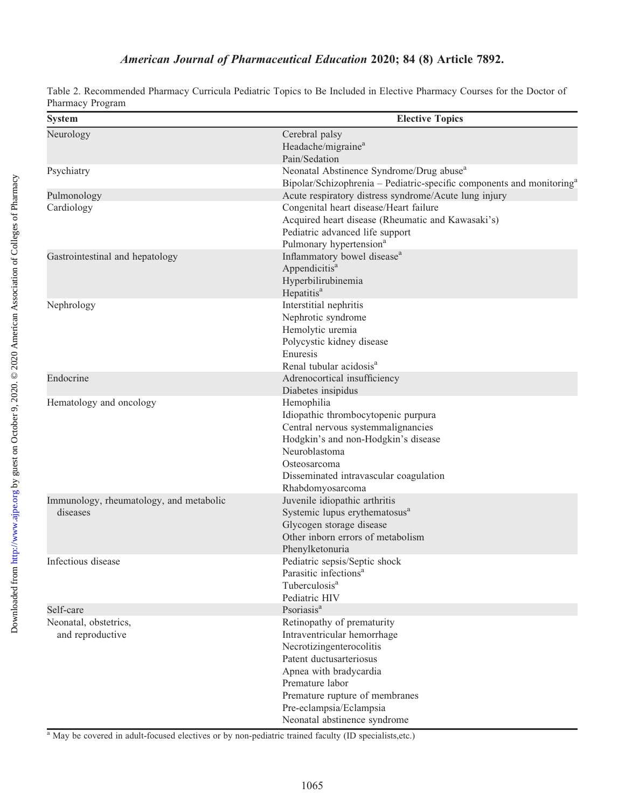## American Journal of Pharmaceutical Education 2020; 84 (8) Article 7892.

| Table 2. Recommended Pharmacy Curricula Pediatric Topics to Be Included in Elective Pharmacy Courses for the Doctor of |  |  |  |  |  |
|------------------------------------------------------------------------------------------------------------------------|--|--|--|--|--|
| Pharmacy Program                                                                                                       |  |  |  |  |  |

| <b>System</b>                           | <b>Elective Topics</b>                                                            |  |  |  |  |
|-----------------------------------------|-----------------------------------------------------------------------------------|--|--|--|--|
| Neurology                               | Cerebral palsy                                                                    |  |  |  |  |
|                                         | Headache/migraine <sup>a</sup>                                                    |  |  |  |  |
|                                         | Pain/Sedation                                                                     |  |  |  |  |
| Psychiatry                              | Neonatal Abstinence Syndrome/Drug abuse <sup>a</sup>                              |  |  |  |  |
|                                         | Bipolar/Schizophrenia – Pediatric-specific components and monitoring <sup>a</sup> |  |  |  |  |
| Pulmonology                             | Acute respiratory distress syndrome/Acute lung injury                             |  |  |  |  |
| Cardiology                              | Congenital heart disease/Heart failure                                            |  |  |  |  |
|                                         | Acquired heart disease (Rheumatic and Kawasaki's)                                 |  |  |  |  |
|                                         | Pediatric advanced life support                                                   |  |  |  |  |
|                                         | Pulmonary hypertension <sup>a</sup>                                               |  |  |  |  |
| Gastrointestinal and hepatology         | Inflammatory bowel disease <sup>a</sup>                                           |  |  |  |  |
|                                         | Appendicitis <sup>a</sup>                                                         |  |  |  |  |
|                                         | Hyperbilirubinemia                                                                |  |  |  |  |
|                                         | Hepatitis <sup>a</sup>                                                            |  |  |  |  |
| Nephrology                              | Interstitial nephritis                                                            |  |  |  |  |
|                                         | Nephrotic syndrome                                                                |  |  |  |  |
|                                         | Hemolytic uremia                                                                  |  |  |  |  |
|                                         | Polycystic kidney disease                                                         |  |  |  |  |
|                                         | Enuresis                                                                          |  |  |  |  |
|                                         | Renal tubular acidosis <sup>a</sup>                                               |  |  |  |  |
| Endocrine                               | Adrenocortical insufficiency                                                      |  |  |  |  |
|                                         | Diabetes insipidus                                                                |  |  |  |  |
| Hematology and oncology                 | Hemophilia                                                                        |  |  |  |  |
|                                         | Idiopathic thrombocytopenic purpura                                               |  |  |  |  |
|                                         | Central nervous systemmalignancies                                                |  |  |  |  |
|                                         | Hodgkin's and non-Hodgkin's disease                                               |  |  |  |  |
|                                         | Neuroblastoma                                                                     |  |  |  |  |
|                                         | Osteosarcoma                                                                      |  |  |  |  |
|                                         | Disseminated intravascular coagulation                                            |  |  |  |  |
|                                         | Rhabdomyosarcoma                                                                  |  |  |  |  |
| Immunology, rheumatology, and metabolic | Juvenile idiopathic arthritis                                                     |  |  |  |  |
| diseases                                | Systemic lupus erythematosus <sup>a</sup>                                         |  |  |  |  |
|                                         | Glycogen storage disease                                                          |  |  |  |  |
|                                         | Other inborn errors of metabolism                                                 |  |  |  |  |
|                                         | Phenylketonuria                                                                   |  |  |  |  |
| Infectious disease                      | Pediatric sepsis/Septic shock                                                     |  |  |  |  |
|                                         | Parasitic infections <sup>a</sup>                                                 |  |  |  |  |
|                                         | Tuberculosis <sup>a</sup>                                                         |  |  |  |  |
|                                         | Pediatric HIV                                                                     |  |  |  |  |
| Self-care                               | Psoriasis <sup>a</sup>                                                            |  |  |  |  |
| Neonatal, obstetrics,                   | Retinopathy of prematurity                                                        |  |  |  |  |
| and reproductive                        | Intraventricular hemorrhage                                                       |  |  |  |  |
|                                         | Necrotizingenterocolitis                                                          |  |  |  |  |
|                                         | Patent ductusarteriosus                                                           |  |  |  |  |
|                                         | Apnea with bradycardia                                                            |  |  |  |  |
|                                         | Premature labor                                                                   |  |  |  |  |
|                                         | Premature rupture of membranes                                                    |  |  |  |  |
|                                         | Pre-eclampsia/Eclampsia                                                           |  |  |  |  |
|                                         | Neonatal abstinence syndrome                                                      |  |  |  |  |

<sup>a</sup> May be covered in adult-focused electives or by non-pediatric trained faculty (ID specialists,etc.)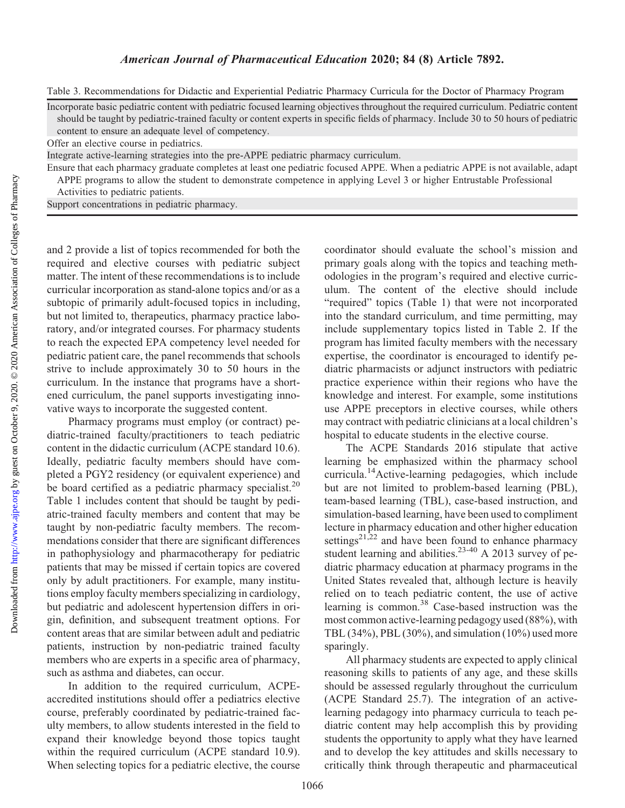Table 3. Recommendations for Didactic and Experiential Pediatric Pharmacy Curricula for the Doctor of Pharmacy Program

Incorporate basic pediatric content with pediatric focused learning objectives throughout the required curriculum. Pediatric content should be taught by pediatric-trained faculty or content experts in specific fields of pharmacy. Include 30 to 50 hours of pediatric content to ensure an adequate level of competency.

Offer an elective course in pediatrics.

Integrate active-learning strategies into the pre-APPE pediatric pharmacy curriculum.

Ensure that each pharmacy graduate completes at least one pediatric focused APPE. When a pediatric APPE is not available, adapt APPE programs to allow the student to demonstrate competence in applying Level 3 or higher Entrustable Professional

Activities to pediatric patients.

Support concentrations in pediatric pharmacy.

and 2 provide a list of topics recommended for both the required and elective courses with pediatric subject matter. The intent of these recommendations is to include curricular incorporation as stand-alone topics and/or as a subtopic of primarily adult-focused topics in including, but not limited to, therapeutics, pharmacy practice laboratory, and/or integrated courses. For pharmacy students to reach the expected EPA competency level needed for pediatric patient care, the panel recommends that schools strive to include approximately 30 to 50 hours in the curriculum. In the instance that programs have a shortened curriculum, the panel supports investigating innovative ways to incorporate the suggested content.

Pharmacy programs must employ (or contract) pediatric-trained faculty/practitioners to teach pediatric content in the didactic curriculum (ACPE standard 10.6). Ideally, pediatric faculty members should have completed a PGY2 residency (or equivalent experience) and be board certified as a pediatric pharmacy specialist.<sup>20</sup> Table 1 includes content that should be taught by pediatric-trained faculty members and content that may be taught by non-pediatric faculty members. The recommendations consider that there are significant differences in pathophysiology and pharmacotherapy for pediatric patients that may be missed if certain topics are covered only by adult practitioners. For example, many institutions employ faculty members specializing in cardiology, but pediatric and adolescent hypertension differs in origin, definition, and subsequent treatment options. For content areas that are similar between adult and pediatric patients, instruction by non-pediatric trained faculty members who are experts in a specific area of pharmacy, such as asthma and diabetes, can occur.

In addition to the required curriculum, ACPEaccredited institutions should offer a pediatrics elective course, preferably coordinated by pediatric-trained faculty members, to allow students interested in the field to expand their knowledge beyond those topics taught within the required curriculum (ACPE standard 10.9). When selecting topics for a pediatric elective, the course

coordinator should evaluate the school's mission and primary goals along with the topics and teaching methodologies in the program's required and elective curriculum. The content of the elective should include "required" topics (Table 1) that were not incorporated into the standard curriculum, and time permitting, may include supplementary topics listed in Table 2. If the program has limited faculty members with the necessary expertise, the coordinator is encouraged to identify pediatric pharmacists or adjunct instructors with pediatric practice experience within their regions who have the knowledge and interest. For example, some institutions use APPE preceptors in elective courses, while others may contract with pediatric clinicians at a local children's hospital to educate students in the elective course.

The ACPE Standards 2016 stipulate that active learning be emphasized within the pharmacy school curricula.14Active-learning pedagogies, which include but are not limited to problem-based learning (PBL), team-based learning (TBL), case-based instruction, and simulation-based learning, have been used to compliment lecture in pharmacy education and other higher education settings<sup>21,22</sup> and have been found to enhance pharmacy student learning and abilities. $23-40$  A 2013 survey of pediatric pharmacy education at pharmacy programs in the United States revealed that, although lecture is heavily relied on to teach pediatric content, the use of active learning is common.<sup>38</sup> Case-based instruction was the most common active-learning pedagogy used (88%), with TBL  $(34\%)$ , PBL  $(30\%)$ , and simulation  $(10\%)$  used more sparingly.

All pharmacy students are expected to apply clinical reasoning skills to patients of any age, and these skills should be assessed regularly throughout the curriculum (ACPE Standard 25.7). The integration of an activelearning pedagogy into pharmacy curricula to teach pediatric content may help accomplish this by providing students the opportunity to apply what they have learned and to develop the key attitudes and skills necessary to critically think through therapeutic and pharmaceutical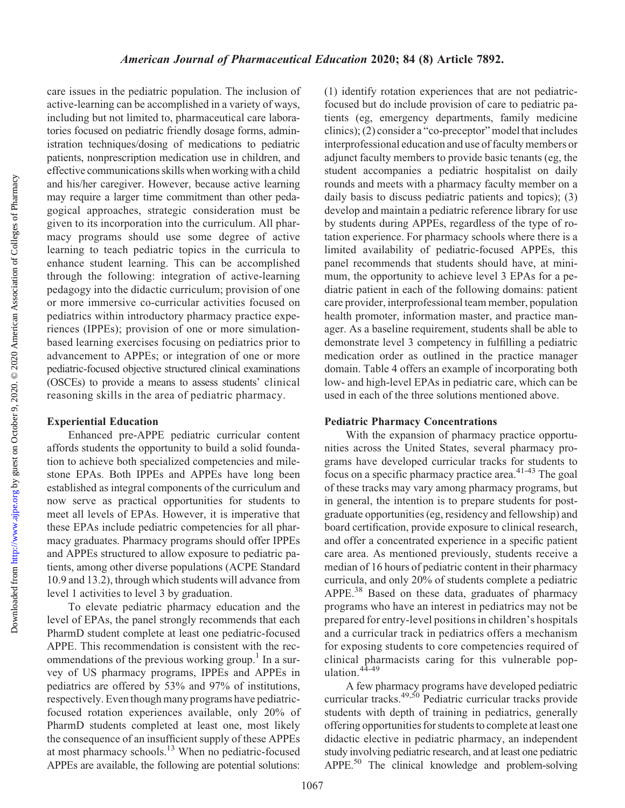care issues in the pediatric population. The inclusion of active-learning can be accomplished in a variety of ways, including but not limited to, pharmaceutical care laboratories focused on pediatric friendly dosage forms, administration techniques/dosing of medications to pediatric patients, nonprescription medication use in children, and effective communications skills when working with a child and his/her caregiver. However, because active learning may require a larger time commitment than other pedagogical approaches, strategic consideration must be given to its incorporation into the curriculum. All pharmacy programs should use some degree of active learning to teach pediatric topics in the curricula to enhance student learning. This can be accomplished through the following: integration of active-learning pedagogy into the didactic curriculum; provision of one or more immersive co-curricular activities focused on pediatrics within introductory pharmacy practice experiences (IPPEs); provision of one or more simulationbased learning exercises focusing on pediatrics prior to advancement to APPEs; or integration of one or more pediatric-focused objective structured clinical examinations (OSCEs) to provide a means to assess students' clinical reasoning skills in the area of pediatric pharmacy.

#### Experiential Education

Enhanced pre-APPE pediatric curricular content affords students the opportunity to build a solid foundation to achieve both specialized competencies and milestone EPAs. Both IPPEs and APPEs have long been established as integral components of the curriculum and now serve as practical opportunities for students to meet all levels of EPAs. However, it is imperative that these EPAs include pediatric competencies for all pharmacy graduates. Pharmacy programs should offer IPPEs and APPEs structured to allow exposure to pediatric patients, among other diverse populations (ACPE Standard 10.9 and 13.2), through which students will advance from level 1 activities to level 3 by graduation.

To elevate pediatric pharmacy education and the level of EPAs, the panel strongly recommends that each PharmD student complete at least one pediatric-focused APPE. This recommendation is consistent with the recommendations of the previous working group.<sup>1</sup> In a survey of US pharmacy programs, IPPEs and APPEs in pediatrics are offered by 53% and 97% of institutions, respectively. Even though many programs have pediatricfocused rotation experiences available, only 20% of PharmD students completed at least one, most likely the consequence of an insufficient supply of these APPEs at most pharmacy schools.<sup>13</sup> When no pediatric-focused APPEs are available, the following are potential solutions:

(1) identify rotation experiences that are not pediatricfocused but do include provision of care to pediatric patients (eg, emergency departments, family medicine clinics); (2) consider a "co-preceptor" model that includes interprofessional education and use of faculty members or adjunct faculty members to provide basic tenants (eg, the student accompanies a pediatric hospitalist on daily rounds and meets with a pharmacy faculty member on a daily basis to discuss pediatric patients and topics); (3) develop and maintain a pediatric reference library for use by students during APPEs, regardless of the type of rotation experience. For pharmacy schools where there is a limited availability of pediatric-focused APPEs, this panel recommends that students should have, at minimum, the opportunity to achieve level 3 EPAs for a pediatric patient in each of the following domains: patient care provider, interprofessional team member, population health promoter, information master, and practice manager. As a baseline requirement, students shall be able to demonstrate level 3 competency in fulfilling a pediatric medication order as outlined in the practice manager domain. Table 4 offers an example of incorporating both low- and high-level EPAs in pediatric care, which can be used in each of the three solutions mentioned above.

#### Pediatric Pharmacy Concentrations

With the expansion of pharmacy practice opportunities across the United States, several pharmacy programs have developed curricular tracks for students to  $\sum_{n=1}^{\infty}$  focus on a specific pharmacy practice area.<sup>41-43</sup> The goal of these tracks may vary among pharmacy programs, but in general, the intention is to prepare students for postgraduate opportunities (eg, residency and fellowship) and board certification, provide exposure to clinical research, and offer a concentrated experience in a specific patient care area. As mentioned previously, students receive a median of 16 hours of pediatric content in their pharmacy curricula, and only 20% of students complete a pediatric APPE.<sup>38</sup> Based on these data, graduates of pharmacy programs who have an interest in pediatrics may not be prepared for entry-level positions in children's hospitals and a curricular track in pediatrics offers a mechanism for exposing students to core competencies required of clinical pharmacists caring for this vulnerable population.44-49

A few pharmacy programs have developed pediatric curricular tracks.<sup>49,50</sup> Pediatric curricular tracks provide students with depth of training in pediatrics, generally offering opportunities for students to complete at least one didactic elective in pediatric pharmacy, an independent study involving pediatric research, and at least one pediatric APPE.<sup>50</sup> The clinical knowledge and problem-solving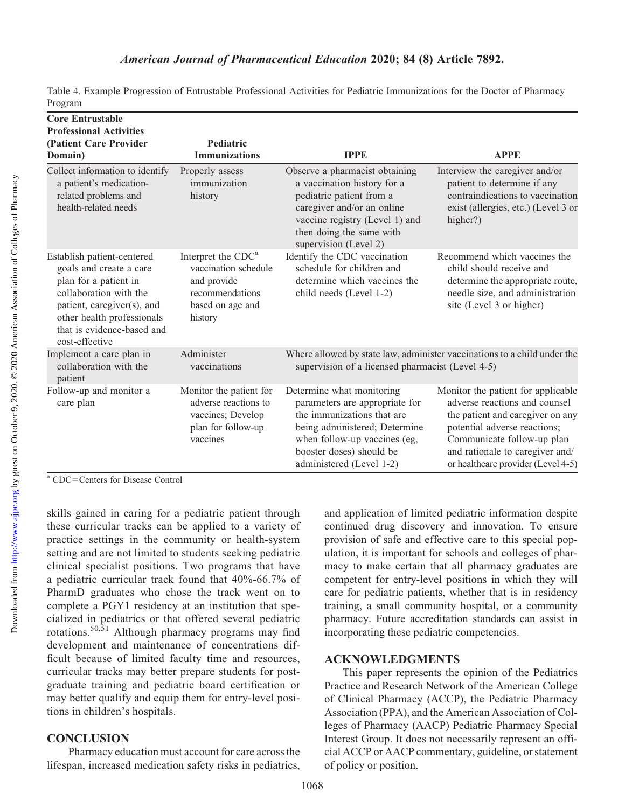| Table 4. Example Progression of Entrustable Professional Activities for Pediatric Immunizations for the Doctor of Pharmacy |  |  |  |  |
|----------------------------------------------------------------------------------------------------------------------------|--|--|--|--|
| Program                                                                                                                    |  |  |  |  |

| <b>Core Entrustable</b><br><b>Professional Activities</b>                                                                                                                                                            |                                                                                                                         |                                                                                                                                                                                                                    |                                                                                                                                                                                                                                                |  |  |
|----------------------------------------------------------------------------------------------------------------------------------------------------------------------------------------------------------------------|-------------------------------------------------------------------------------------------------------------------------|--------------------------------------------------------------------------------------------------------------------------------------------------------------------------------------------------------------------|------------------------------------------------------------------------------------------------------------------------------------------------------------------------------------------------------------------------------------------------|--|--|
| (Patient Care Provider<br>Domain)                                                                                                                                                                                    | Pediatric<br><b>Immunizations</b>                                                                                       | <b>IPPE</b>                                                                                                                                                                                                        | <b>APPE</b>                                                                                                                                                                                                                                    |  |  |
| Collect information to identify<br>a patient's medication-<br>related problems and<br>health-related needs                                                                                                           | Properly assess<br>immunization<br>history                                                                              | Observe a pharmacist obtaining<br>a vaccination history for a<br>pediatric patient from a<br>caregiver and/or an online<br>vaccine registry (Level 1) and<br>then doing the same with<br>supervision (Level 2)     | Interview the caregiver and/or<br>patient to determine if any<br>contraindications to vaccination<br>exist (allergies, etc.) (Level 3 or<br>higher?)                                                                                           |  |  |
| Establish patient-centered<br>goals and create a care<br>plan for a patient in<br>collaboration with the<br>patient, caregiver(s), and<br>other health professionals<br>that is evidence-based and<br>cost-effective | Interpret the CDC <sup>a</sup><br>vaccination schedule<br>and provide<br>recommendations<br>based on age and<br>history | Identify the CDC vaccination<br>schedule for children and<br>determine which vaccines the<br>child needs (Level 1-2)                                                                                               | Recommend which vaccines the<br>child should receive and<br>determine the appropriate route,<br>needle size, and administration<br>site (Level 3 or higher)                                                                                    |  |  |
| Implement a care plan in<br>collaboration with the<br>patient                                                                                                                                                        | Administer<br>vaccinations                                                                                              | Where allowed by state law, administer vaccinations to a child under the<br>supervision of a licensed pharmacist (Level 4-5)                                                                                       |                                                                                                                                                                                                                                                |  |  |
| Follow-up and monitor a<br>Monitor the patient for<br>adverse reactions to<br>care plan<br>vaccines; Develop<br>plan for follow-up<br>vaccines                                                                       |                                                                                                                         | Determine what monitoring<br>parameters are appropriate for<br>the immunizations that are<br>being administered; Determine<br>when follow-up vaccines (eg,<br>booster doses) should be<br>administered (Level 1-2) | Monitor the patient for applicable<br>adverse reactions and counsel<br>the patient and caregiver on any<br>potential adverse reactions;<br>Communicate follow-up plan<br>and rationale to caregiver and/<br>or healthcare provider (Level 4-5) |  |  |

<sup>a</sup> CDC=Centers for Disease Control

skills gained in caring for a pediatric patient through these curricular tracks can be applied to a variety of practice settings in the community or health-system setting and are not limited to students seeking pediatric clinical specialist positions. Two programs that have a pediatric curricular track found that 40%-66.7% of PharmD graduates who chose the track went on to complete a PGY1 residency at an institution that specialized in pediatrics or that offered several pediatric rotations.<sup>50,51</sup> Although pharmacy programs may find development and maintenance of concentrations difficult because of limited faculty time and resources, curricular tracks may better prepare students for postgraduate training and pediatric board certification or may better qualify and equip them for entry-level positions in children's hospitals.

### **CONCLUSION**

Pharmacy education must account for care across the lifespan, increased medication safety risks in pediatrics, and application of limited pediatric information despite continued drug discovery and innovation. To ensure provision of safe and effective care to this special population, it is important for schools and colleges of pharmacy to make certain that all pharmacy graduates are competent for entry-level positions in which they will care for pediatric patients, whether that is in residency training, a small community hospital, or a community pharmacy. Future accreditation standards can assist in incorporating these pediatric competencies.

### ACKNOWLEDGMENTS

This paper represents the opinion of the Pediatrics Practice and Research Network of the American College of Clinical Pharmacy (ACCP), the Pediatric Pharmacy Association (PPA), and the American Association of Colleges of Pharmacy (AACP) Pediatric Pharmacy Special Interest Group. It does not necessarily represent an official ACCP or AACP commentary, guideline, or statement of policy or position.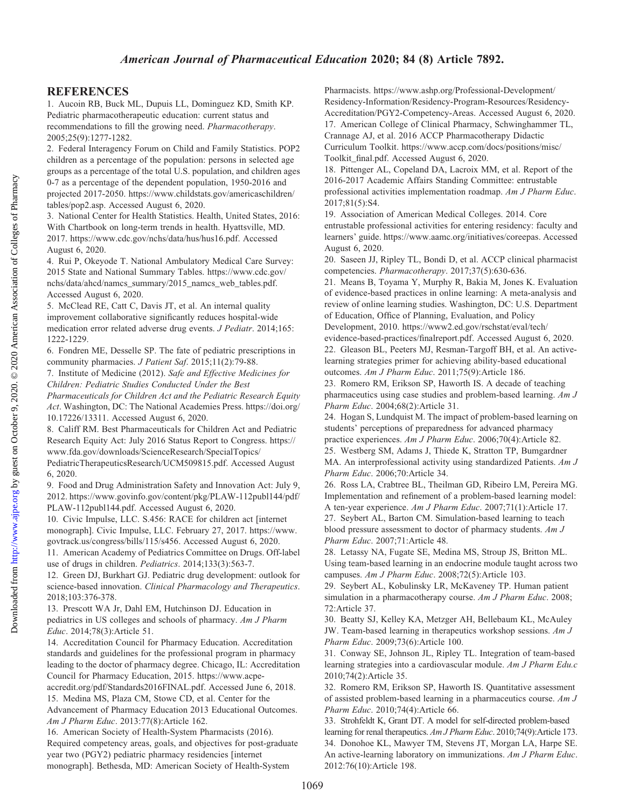### REFERENCES

1. Aucoin RB, Buck ML, Dupuis LL, Dominguez KD, Smith KP. Pediatric pharmacotherapeutic education: current status and recommendations to fill the growing need. Pharmacotherapy. 2005;25(9):1277-1282.

2. Federal Interagency Forum on Child and Family Statistics. POP2 children as a percentage of the population: persons in selected age groups as a percentage of the total U.S. population, and children ages 0-7 as a percentage of the dependent population, 1950-2016 and projected 2017-2050. [https://www.childstats.gov/americaschildren/](https://www.childstats.gov/americaschildren/tables/pop2.asp) [tables/pop2.asp.](https://www.childstats.gov/americaschildren/tables/pop2.asp) Accessed August 6, 2020.

3. National Center for Health Statistics. Health, United States, 2016: With Chartbook on long-term trends in health. Hyattsville, MD. 2017.<https://www.cdc.gov/nchs/data/hus/hus16.pdf>. Accessed August 6, 2020.

4. Rui P, Okeyode T. National Ambulatory Medical Care Survey: 2015 State and National Summary Tables. [https://www.cdc.gov/](https://www.cdc.gov/nchs/data/ahcd/namcs_summary/2015_namcs_web_tables.pdf) [nchs/data/ahcd/namcs\\_summary/2015\\_namcs\\_web\\_tables.pdf.](https://www.cdc.gov/nchs/data/ahcd/namcs_summary/2015_namcs_web_tables.pdf) Accessed August 6, 2020.

5. McClead RE, Catt C, Davis JT, et al. An internal quality improvement collaborative significantly reduces hospital-wide medication error related adverse drug events. J Pediatr. 2014;165: 1222-1229.

6. Fondren ME, Desselle SP. The fate of pediatric prescriptions in community pharmacies. J Patient Saf. 2015;11(2):79-88.

7. Institute of Medicine (2012). Safe and Effective Medicines for Children: Pediatric Studies Conducted Under the Best

Pharmaceuticals for Children Act and the Pediatric Research Equity Act. Washington, DC: The National Academies Press. [https://doi.org/](https://doi.org/10.17226/13311) [10.17226/13311.](https://doi.org/10.17226/13311) Accessed August 6, 2020.

8. Califf RM. Best Pharmaceuticals for Children Act and Pediatric Research Equity Act: July 2016 Status Report to Congress. [https://](https://www.fda.gov/downloads/ScienceResearch/SpecialTopics/PediatricTherapeuticsResearch/UCM509815.pdf) [www.fda.gov/downloads/ScienceResearch/SpecialTopics/](https://www.fda.gov/downloads/ScienceResearch/SpecialTopics/PediatricTherapeuticsResearch/UCM509815.pdf)

[PediatricTherapeuticsResearch/UCM509815.pdf](https://www.fda.gov/downloads/ScienceResearch/SpecialTopics/PediatricTherapeuticsResearch/UCM509815.pdf). Accessed August 6, 2020.

9. Food and Drug Administration Safety and Innovation Act: July 9, 2012. [https://www.govinfo.gov/content/pkg/PLAW-112publ144/pdf/](https://www.govinfo.gov/content/pkg/PLAW-112publ144/pdf/PLAW-112publ144.pdf) [PLAW-112publ144.pdf](https://www.govinfo.gov/content/pkg/PLAW-112publ144/pdf/PLAW-112publ144.pdf). Accessed August 6, 2020.

10. Civic Impulse, LLC. S.456: RACE for children act [internet monograph]. Civic Impulse, LLC. February 27, 2017. [https://www.](https://www.govtrack.us/congress/bills/115/s456)

[govtrack.us/congress/bills/115/s456.](https://www.govtrack.us/congress/bills/115/s456) Accessed August 6, 2020. 11. American Academy of Pediatrics Committee on Drugs. Off-label use of drugs in children. Pediatrics. 2014;133(3):563-7.

12. Green DJ, Burkhart GJ. Pediatric drug development: outlook for science-based innovation. Clinical Pharmacology and Therapeutics. 2018;103:376-378.

13. Prescott WA Jr, Dahl EM, Hutchinson DJ. Education in pediatrics in US colleges and schools of pharmacy. Am J Pharm Educ. 2014;78(3):Article 51.

14. Accreditation Council for Pharmacy Education. Accreditation standards and guidelines for the professional program in pharmacy leading to the doctor of pharmacy degree. Chicago, IL: Accreditation Council for Pharmacy Education, 2015. [https://www.acpe](https://www.acpe-accredit.org/pdf/Standards2016FINAL.pdf)[accredit.org/pdf/Standards2016FINAL.pdf.](https://www.acpe-accredit.org/pdf/Standards2016FINAL.pdf) Accessed June 6, 2018. 15. Medina MS, Plaza CM, Stowe CD, et al. Center for the Advancement of Pharmacy Education 2013 Educational Outcomes.

Am J Pharm Educ. 2013:77(8):Article 162.

16. American Society of Health-System Pharmacists (2016). Required competency areas, goals, and objectives for post-graduate year two (PGY2) pediatric pharmacy residencies [internet monograph]. Bethesda, MD: American Society of Health-System

Pharmacists. [https://www.ashp.org/Professional-Development/](https://www.ashp.org/Professional-Development/Residency-Information/Residency-Program-Resources/Residency-Accreditation/PGY2-Competency-Areas) [Residency-Information/Residency-Program-Resources/Residency-](https://www.ashp.org/Professional-Development/Residency-Information/Residency-Program-Resources/Residency-Accreditation/PGY2-Competency-Areas)[Accreditation/PGY2-Competency-Areas](https://www.ashp.org/Professional-Development/Residency-Information/Residency-Program-Resources/Residency-Accreditation/PGY2-Competency-Areas). Accessed August 6, 2020. 17. American College of Clinical Pharmacy, Schwinghammer TL, Crannage AJ, et al. 2016 ACCP Pharmacotherapy Didactic Curriculum Toolkit. [https://www.accp.com/docs/positions/misc/](https://www.accp.com/docs/positions/misc/Toolkit_final.pdf) [Toolkit\\_final.pdf](https://www.accp.com/docs/positions/misc/Toolkit_final.pdf). Accessed August 6, 2020.

18. Pittenger AL, Copeland DA, Lacroix MM, et al. Report of the 2016-2017 Academic Affairs Standing Committee: entrustable professional activities implementation roadmap. Am J Pharm Educ. 2017;81(5):S4.

19. Association of American Medical Colleges. 2014. Core entrustable professional activities for entering residency: faculty and learners' guide. [https://www.aamc.org/initiatives/coreepas.](https://www.aamc.org/initiatives/coreepas) Accessed August 6, 2020.

20. Saseen JJ, Ripley TL, Bondi D, et al. ACCP clinical pharmacist competencies. Pharmacotherapy. 2017;37(5):630-636.

21. Means B, Toyama Y, Murphy R, Bakia M, Jones K. Evaluation of evidence-based practices in online learning: A meta-analysis and review of online learning studies. Washington, DC: U.S. Department of Education, Office of Planning, Evaluation, and Policy Development, 2010. [https://www2.ed.gov/rschstat/eval/tech/](https://www2.ed.gov/rschstat/eval/tech/evidence-based-practices/finalreport.pdf)

[evidence-based-practices/finalreport.pdf.](https://www2.ed.gov/rschstat/eval/tech/evidence-based-practices/finalreport.pdf) Accessed August 6, 2020. 22. Gleason BL, Peeters MJ, Resman-Targoff BH, et al. An activelearning strategies primer for achieving ability-based educational outcomes. Am J Pharm Educ. 2011;75(9):Article 186.

23. Romero RM, Erikson SP, Haworth IS. A decade of teaching pharmaceutics using case studies and problem-based learning. Am J Pharm Educ. 2004;68(2):Article 31.

24. Hogan S, Lundquist M. The impact of problem-based learning on students' perceptions of preparedness for advanced pharmacy practice experiences. Am J Pharm Educ. 2006;70(4):Article 82.

25. Westberg SM, Adams J, Thiede K, Stratton TP, Bumgardner MA. An interprofessional activity using standardized Patients. Am J Pharm Educ. 2006;70:Article 34.

26. Ross LA, Crabtree BL, Theilman GD, Ribeiro LM, Pereira MG. Implementation and refinement of a problem-based learning model: A ten-year experience. Am J Pharm Educ. 2007;71(1):Article 17. 27. Seybert AL, Barton CM. Simulation-based learning to teach blood pressure assessment to doctor of pharmacy students. Am J Pharm Educ. 2007;71:Article 48.

28. Letassy NA, Fugate SE, Medina MS, Stroup JS, Britton ML. Using team-based learning in an endocrine module taught across two campuses. Am J Pharm Educ. 2008;72(5):Article 103.

29. Seybert AL, Kobulinsky LR, McKaveney TP. Human patient simulation in a pharmacotherapy course. Am J Pharm Educ. 2008; 72:Article 37.

30. Beatty SJ, Kelley KA, Metzger AH, Bellebaum KL, McAuley JW. Team-based learning in therapeutics workshop sessions. Am J Pharm Educ. 2009;73(6):Article 100.

31. Conway SE, Johnson JL, Ripley TL. Integration of team-based learning strategies into a cardiovascular module. Am J Pharm Edu.c 2010;74(2):Article 35.

32. Romero RM, Erikson SP, Haworth IS. Quantitative assessment of assisted problem-based learning in a pharmaceutics course. Am J Pharm Educ. 2010;74(4):Article 66.

33. Strohfeldt K, Grant DT. A model for self-directed problem-based learning for renal therapeutics. Am J Pharm Educ. 2010;74(9):Article 173. 34. Donohoe KL, Mawyer TM, Stevens JT, Morgan LA, Harpe SE. An active-learning laboratory on immunizations. Am J Pharm Educ. 2012:76(10):Article 198.